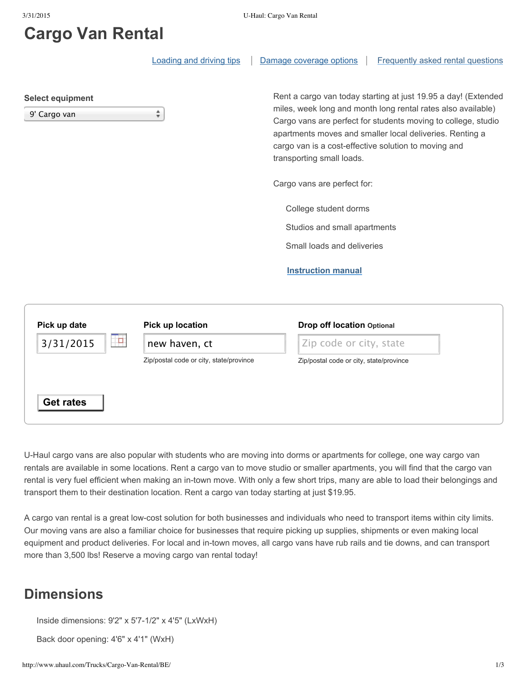# **Cargo Van Rental**

|                                         | <b>Loading and driving tips</b>         | Frequently asked rental questions<br>Damage coverage options                                                                                                                                                                                                                                                                                     |
|-----------------------------------------|-----------------------------------------|--------------------------------------------------------------------------------------------------------------------------------------------------------------------------------------------------------------------------------------------------------------------------------------------------------------------------------------------------|
| <b>Select equipment</b><br>9' Cargo van | ÷                                       | Rent a cargo van today starting at just 19.95 a day! (Extended<br>miles, week long and month long rental rates also available)<br>Cargo vans are perfect for students moving to college, studio<br>apartments moves and smaller local deliveries. Renting a<br>cargo van is a cost-effective solution to moving and<br>transporting small loads. |
|                                         |                                         | Cargo vans are perfect for:                                                                                                                                                                                                                                                                                                                      |
|                                         |                                         | College student dorms                                                                                                                                                                                                                                                                                                                            |
|                                         |                                         | Studios and small apartments                                                                                                                                                                                                                                                                                                                     |
|                                         |                                         | Small loads and deliveries                                                                                                                                                                                                                                                                                                                       |
|                                         |                                         | <b>Instruction manual</b>                                                                                                                                                                                                                                                                                                                        |
| Pick up date                            | Pick up location                        | <b>Drop off location Optional</b>                                                                                                                                                                                                                                                                                                                |
| Ħ<br>3/31/2015                          | new haven, ct                           | Zip code or city, state                                                                                                                                                                                                                                                                                                                          |
|                                         | Zip/postal code or city, state/province | Zip/postal code or city, state/province                                                                                                                                                                                                                                                                                                          |
| <b>Get rates</b>                        |                                         |                                                                                                                                                                                                                                                                                                                                                  |

U-Haul cargo vans are also popular with students who are moving into dorms or apartments for college, one way cargo van rentals are available in some locations. Rent a cargo van to move studio or smaller apartments, you will find that the cargo van rental is very fuel efficient when making an in-town move. With only a few short trips, many are able to load their belongings and transport them to their destination location. Rent a cargo van today starting at just \$19.95.

A cargo van rental is a great low-cost solution for both businesses and individuals who need to transport items within city limits. Our moving vans are also a familiar choice for businesses that require picking up supplies, shipments or even making local equipment and product deliveries. For local and in-town moves, all cargo vans have rub rails and tie downs, and can transport more than 3,500 lbs! Reserve a moving cargo van rental today!

#### **Dimensions**

Inside dimensions: 9'2" x 5'7-1/2" x 4'5" (LxWxH)

Back door opening: 4'6" x 4'1" (WxH)